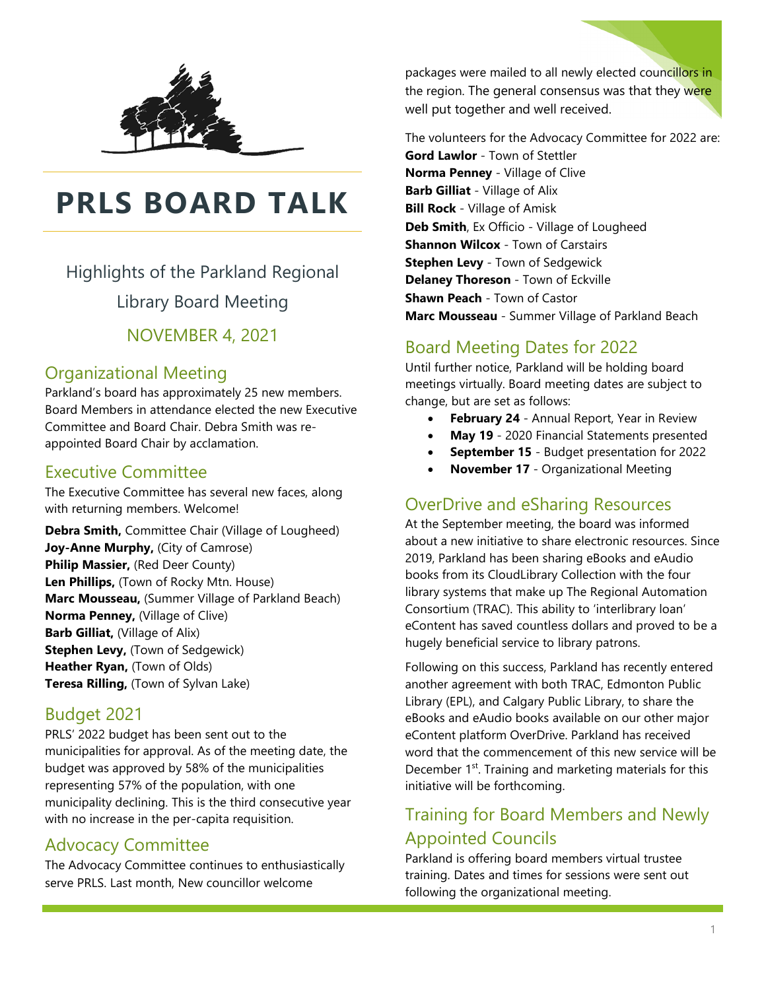

# **PRLS BOARD TALK**

Highlights of the Parkland Regional

Library Board Meeting

NOVEMBER 4, 2021

## Organizational Meeting

Parkland's board has approximately 25 new members. Board Members in attendance elected the new Executive Committee and Board Chair. Debra Smith was reappointed Board Chair by acclamation.

#### Executive Committee

The Executive Committee has several new faces, along with returning members. Welcome!

**Debra Smith,** Committee Chair (Village of Lougheed) **Joy-Anne Murphy,** (City of Camrose) **Philip Massier,** (Red Deer County) **Len Phillips,** (Town of Rocky Mtn. House) **Marc Mousseau,** (Summer Village of Parkland Beach) **Norma Penney,** (Village of Clive) **Barb Gilliat,** (Village of Alix) **Stephen Levy,** (Town of Sedgewick) **Heather Ryan,** (Town of Olds) **Teresa Rilling,** (Town of Sylvan Lake)

#### Budget 2021

PRLS' 2022 budget has been sent out to the municipalities for approval. As of the meeting date, the budget was approved by 58% of the municipalities representing 57% of the population, with one municipality declining. This is the third consecutive year with no increase in the per-capita requisition.

#### Advocacy Committee

The Advocacy Committee continues to enthusiastically serve PRLS. Last month, New councillor welcome

packages were mailed to all newly elected councillors in the region. The general consensus was that they were well put together and well received.

The volunteers for the Advocacy Committee for 2022 are: **Gord Lawlor** - Town of Stettler **Norma Penney** - Village of Clive **Barb Gilliat** - Village of Alix **Bill Rock** - Village of Amisk **Deb Smith**, Ex Officio - Village of Lougheed **Shannon Wilcox** - Town of Carstairs **Stephen Levy** - Town of Sedgewick **Delaney Thoreson** - Town of Eckville **Shawn Peach** - Town of Castor **Marc Mousseau** - Summer Village of Parkland Beach

## Board Meeting Dates for 2022

Until further notice, Parkland will be holding board meetings virtually. Board meeting dates are subject to change, but are set as follows:

- **February 24** Annual Report, Year in Review
- **May 19** 2020 Financial Statements presented
- **September 15** Budget presentation for 2022
- **November 17** Organizational Meeting

#### OverDrive and eSharing Resources

At the September meeting, the board was informed about a new initiative to share electronic resources. Since 2019, Parkland has been sharing eBooks and eAudio books from its CloudLibrary Collection with the four library systems that make up The Regional Automation Consortium (TRAC). This ability to 'interlibrary loan' eContent has saved countless dollars and proved to be a hugely beneficial service to library patrons.

Following on this success, Parkland has recently entered another agreement with both TRAC, Edmonton Public Library (EPL), and Calgary Public Library, to share the eBooks and eAudio books available on our other major eContent platform OverDrive. Parkland has received word that the commencement of this new service will be December 1<sup>st</sup>. Training and marketing materials for this initiative will be forthcoming.

## Training for Board Members and Newly Appointed Councils

Parkland is offering board members virtual trustee training. Dates and times for sessions were sent out following the organizational meeting.